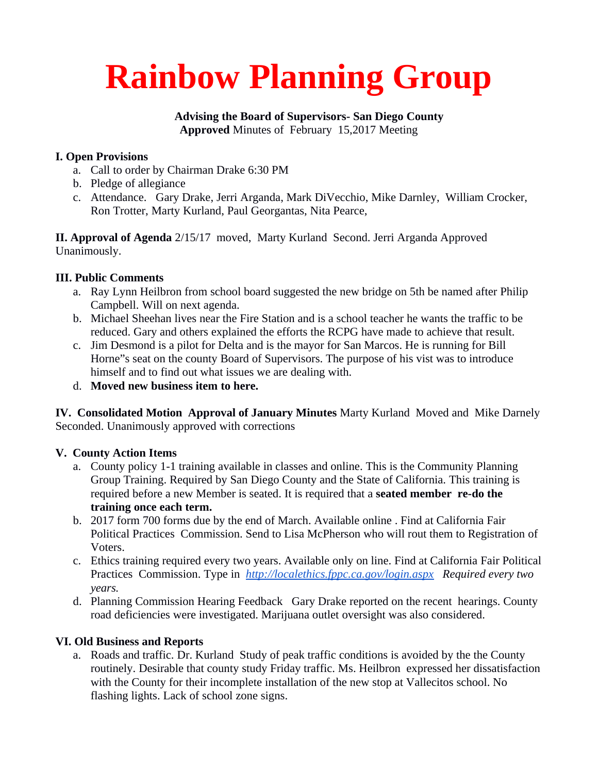# **Rainbow Planning Group**

### **Advising the Board of Supervisors- San Diego County Approved** Minutes of February 15,2017 Meeting

# **I. Open Provisions**

- a. Call to order by Chairman Drake 6:30 PM
- b. Pledge of allegiance
- c. Attendance. Gary Drake, Jerri Arganda, Mark DiVecchio, Mike Darnley, William Crocker, Ron Trotter, Marty Kurland, Paul Georgantas, Nita Pearce,

**II. Approval of Agenda** 2/15/17 moved, Marty Kurland Second. Jerri Arganda Approved Unanimously.

#### **III. Public Comments**

- a. Ray Lynn Heilbron from school board suggested the new bridge on 5th be named after Philip Campbell. Will on next agenda.
- b. Michael Sheehan lives near the Fire Station and is a school teacher he wants the traffic to be reduced. Gary and others explained the efforts the RCPG have made to achieve that result.
- c. Jim Desmond is a pilot for Delta and is the mayor for San Marcos. He is running for Bill Horne"s seat on the county Board of Supervisors. The purpose of his vist was to introduce himself and to find out what issues we are dealing with.
- d. **Moved new business item to here.**

**IV. Consolidated Motion Approval of January Minutes** Marty Kurland Moved and Mike Darnely Seconded. Unanimously approved with corrections

# **V. County Action Items**

- a. County policy 1-1 training available in classes and online. This is the Community Planning Group Training. Required by San Diego County and the State of California. This training is required before a new Member is seated. It is required that a **seated member re-do the training once each term.**
- b. 2017 form 700 forms due by the end of March. Available online . Find at California Fair Political Practices Commission. Send to Lisa McPherson who will rout them to Registration of Voters.
- c. Ethics training required every two years. Available only on line. Find at California Fair Political Practices Commission. Type in *<http://localethics.fppc.ca.gov/login.aspx>Required every two years.*
- d. Planning Commission Hearing Feedback Gary Drake reported on the recent hearings. County road deficiencies were investigated. Marijuana outlet oversight was also considered.

#### **VI. Old Business and Reports**

a. Roads and traffic. Dr. Kurland Study of peak traffic conditions is avoided by the the County routinely. Desirable that county study Friday traffic. Ms. Heilbron expressed her dissatisfaction with the County for their incomplete installation of the new stop at Vallecitos school. No flashing lights. Lack of school zone signs.